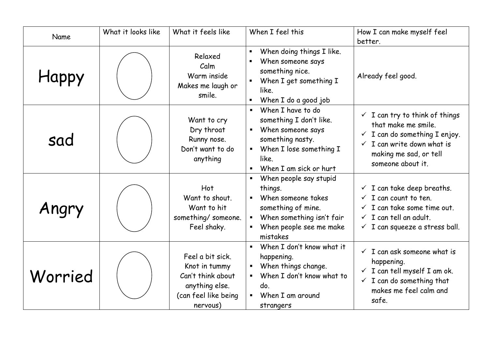| Name    | What it looks like | What it feels like                                                                                           | When I feel this                                                                                                                                                                                                            | How I can make myself feel<br>better.                                                                                                                                                                 |
|---------|--------------------|--------------------------------------------------------------------------------------------------------------|-----------------------------------------------------------------------------------------------------------------------------------------------------------------------------------------------------------------------------|-------------------------------------------------------------------------------------------------------------------------------------------------------------------------------------------------------|
| Happy   |                    | Relaxed<br>Calm<br>Warm inside<br>Makes me laugh or<br>smile.                                                | When doing things I like.<br>When someone says<br>something nice.<br>When I get something I<br>$\blacksquare$<br>like.<br>$\blacksquare$<br>When I do a good job                                                            | Already feel good.                                                                                                                                                                                    |
| sad     |                    | Want to cry<br>Dry throat<br>Runny nose.<br>Don't want to do<br>anything                                     | When I have to do<br>$\blacksquare$<br>something I don't like.<br>When someone says<br>$\blacksquare$<br>something nasty.<br>When I lose something I<br>$\blacksquare$<br>like.<br>When I am sick or hurt<br>$\blacksquare$ | $\checkmark$ I can try to think of things<br>that make me smile.<br>$\checkmark$ I can do something I enjoy.<br>$\checkmark$ I can write down what is<br>making me sad, or tell<br>someone about it.  |
| Angry   |                    | Hot<br>Want to shout.<br>Want to hit<br>something/ someone.<br>Feel shaky.                                   | When people say stupid<br>$\blacksquare$<br>things.<br>When someone takes<br>$\blacksquare$<br>something of mine.<br>When something isn't fair<br>$\blacksquare$<br>When people see me make<br>mistakes                     | $\checkmark$ I can take deep breaths.<br>$\checkmark$ I can count to ten.<br>$\checkmark$ I can take some time out.<br>$\checkmark$ I can tell an adult.<br>$\checkmark$ I can squeeze a stress ball. |
| Worried |                    | Feel a bit sick.<br>Knot in tummy<br>Can't think about<br>anything else.<br>(can feel like being<br>nervous) | When I don't know what it<br>$\blacksquare$<br>happening.<br>When things change.<br>$\blacksquare$<br>When I don't know what to<br>$\blacksquare$<br>do.<br>When I am around<br>$\blacksquare$<br>strangers                 | $\checkmark$ I can ask someone what is<br>happening.<br>$\checkmark$ I can tell myself I am ok.<br>$\checkmark$ I can do something that<br>makes me feel calm and<br>safe.                            |